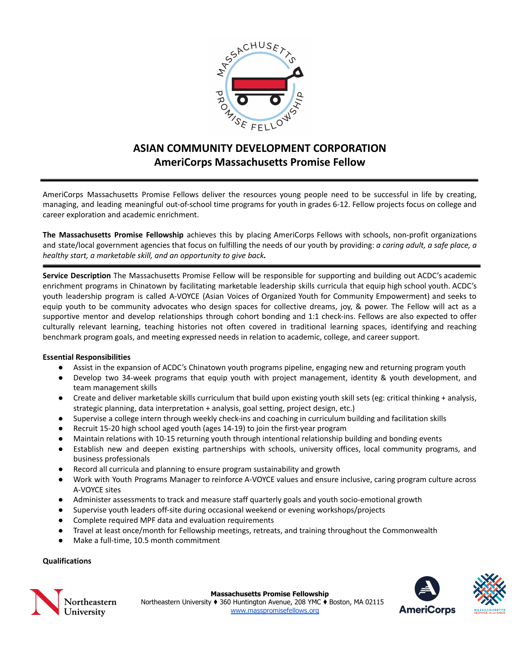

# **ASIAN COMMUNITY DEVELOPMENT CORPORATION AmeriCorps Massachusetts Promise Fellow**

AmeriCorps Massachusetts Promise Fellows deliver the resources young people need to be successful in life by creating, managing, and leading meaningful out-of-school time programs for youth in grades 6-12. Fellow projects focus on college and career exploration and academic enrichment.

**The Massachusetts Promise Fellowship** achieves this by placing AmeriCorps Fellows with schools, non-profit organizations and state/local government agencies that focus on fulfilling the needs of our youth by providing: *a caring adult, a safe place, a healthy start, a marketable skill, and an opportunity to give back.*

**Service Description** The Massachusetts Promise Fellow will be responsible for supporting and building out ACDC's academic enrichment programs in Chinatown by facilitating marketable leadership skills curricula that equip high school youth. ACDC's youth leadership program is called A-VOYCE (Asian Voices of Organized Youth for Community Empowerment) and seeks to equip youth to be community advocates who design spaces for collective dreams, joy, & power. The Fellow will act as a supportive mentor and develop relationships through cohort bonding and 1:1 check-ins. Fellows are also expected to offer culturally relevant learning, teaching histories not often covered in traditional learning spaces, identifying and reaching benchmark program goals, and meeting expressed needs in relation to academic, college, and career support.

# **Essential Responsibilities**

- Assist in the expansion of ACDC's Chinatown youth programs pipeline, engaging new and returning program youth
- Develop two 34-week programs that equip youth with project management, identity & youth development, and team management skills
- Create and deliver marketable skills curriculum that build upon existing youth skill sets (eg: critical thinking + analysis, strategic planning, data interpretation + analysis, goal setting, project design, etc.)
- Supervise a college intern through weekly check-ins and coaching in curriculum building and facilitation skills
- Recruit 15-20 high school aged youth (ages 14-19) to join the first-year program
- Maintain relations with 10-15 returning youth through intentional relationship building and bonding events
- Establish new and deepen existing partnerships with schools, university offices, local community programs, and business professionals
- Record all curricula and planning to ensure program sustainability and growth
- Work with Youth Programs Manager to reinforce A-VOYCE values and ensure inclusive, caring program culture across A-VOYCE sites
- Administer assessments to track and measure staff quarterly goals and youth socio-emotional growth
- Supervise youth leaders off-site during occasional weekend or evening workshops/projects
- Complete required MPF data and evaluation requirements
- Travel at least once/month for Fellowship meetings, retreats, and training throughout the Commonwealth
- Make a full-time, 10.5 month commitment

# **Qualifications**